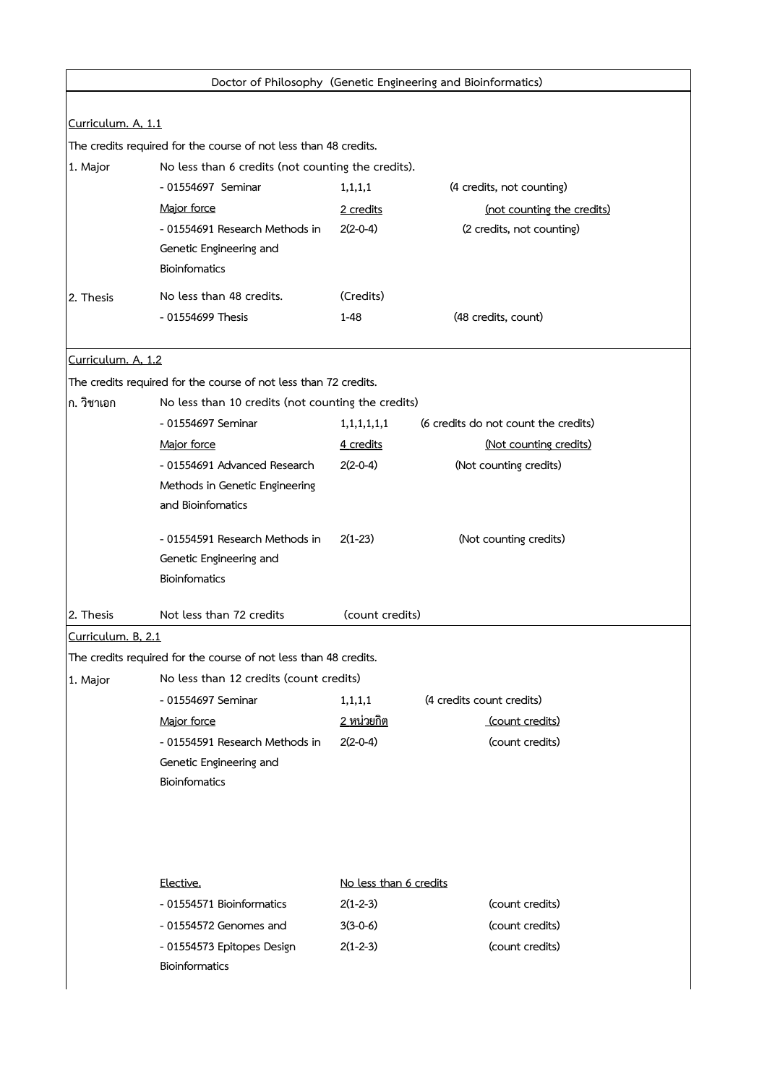| Doctor of Philosophy (Genetic Engineering and Bioinformatics)    |                                                           |                        |                                      |  |  |  |
|------------------------------------------------------------------|-----------------------------------------------------------|------------------------|--------------------------------------|--|--|--|
|                                                                  |                                                           |                        |                                      |  |  |  |
| Curriculum. A, 1.1                                               |                                                           |                        |                                      |  |  |  |
| The credits required for the course of not less than 48 credits. |                                                           |                        |                                      |  |  |  |
| 1. Major                                                         | No less than 6 credits (not counting the credits).        |                        |                                      |  |  |  |
|                                                                  | - 01554697 Seminar                                        | 1, 1, 1, 1             | (4 credits, not counting)            |  |  |  |
|                                                                  | Major force                                               | 2 credits              | (not counting the credits)           |  |  |  |
|                                                                  | - 01554691 Research Methods in<br>Genetic Engineering and | $2(2-0-4)$             | (2 credits, not counting)            |  |  |  |
|                                                                  | <b>Bioinfomatics</b>                                      |                        |                                      |  |  |  |
| 2. Thesis                                                        | No less than 48 credits.                                  | (Credits)              |                                      |  |  |  |
|                                                                  | - 01554699 Thesis                                         | $1 - 48$               | (48 credits, count)                  |  |  |  |
|                                                                  |                                                           |                        |                                      |  |  |  |
| Curriculum. A, 1.2                                               |                                                           |                        |                                      |  |  |  |
| The credits required for the course of not less than 72 credits. |                                                           |                        |                                      |  |  |  |
| ก. วิชาเอก                                                       | No less than 10 credits (not counting the credits)        |                        |                                      |  |  |  |
|                                                                  | - 01554697 Seminar                                        | 1,1,1,1,1,1            | (6 credits do not count the credits) |  |  |  |
|                                                                  | Major force                                               | 4 credits              | (Not counting credits)               |  |  |  |
|                                                                  | - 01554691 Advanced Research                              | $2(2-0-4)$             | (Not counting credits)               |  |  |  |
|                                                                  | Methods in Genetic Engineering                            |                        |                                      |  |  |  |
|                                                                  | and Bioinfomatics                                         |                        |                                      |  |  |  |
|                                                                  | - 01554591 Research Methods in                            | $2(1-23)$              | (Not counting credits)               |  |  |  |
|                                                                  | Genetic Engineering and                                   |                        |                                      |  |  |  |
|                                                                  | Bioinfomatics                                             |                        |                                      |  |  |  |
| 2. Thesis                                                        | Not less than 72 credits                                  | (count credits)        |                                      |  |  |  |
| Curriculum. B, 2.1                                               |                                                           |                        |                                      |  |  |  |
| The credits required for the course of not less than 48 credits. |                                                           |                        |                                      |  |  |  |
| 1. Major                                                         | No less than 12 credits (count credits)                   |                        |                                      |  |  |  |
|                                                                  | - 01554697 Seminar                                        | 1, 1, 1, 1             | (4 credits count credits)            |  |  |  |
|                                                                  | Major force                                               | <u>2 หน่วยกิต</u>      | (count credits)                      |  |  |  |
|                                                                  | - 01554591 Research Methods in                            | $2(2-0-4)$             | (count credits)                      |  |  |  |
|                                                                  | Genetic Engineering and                                   |                        |                                      |  |  |  |
|                                                                  | <b>Bioinfomatics</b>                                      |                        |                                      |  |  |  |
|                                                                  |                                                           |                        |                                      |  |  |  |
|                                                                  |                                                           |                        |                                      |  |  |  |
|                                                                  | Elective.                                                 | No less than 6 credits |                                      |  |  |  |
|                                                                  | - 01554571 Bioinformatics                                 | $2(1-2-3)$             | (count credits)                      |  |  |  |
|                                                                  | - 01554572 Genomes and                                    | $3(3-0-6)$             | (count credits)                      |  |  |  |
|                                                                  | - 01554573 Epitopes Design                                | $2(1-2-3)$             | (count credits)                      |  |  |  |
|                                                                  | Bioinformatics                                            |                        |                                      |  |  |  |